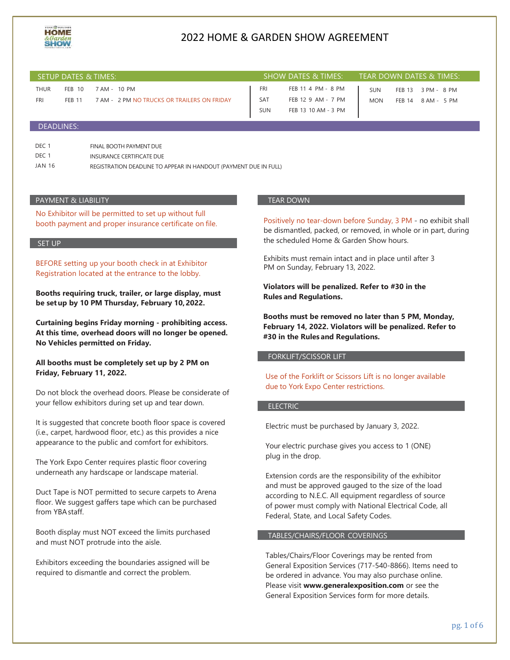

| SETUP DATES & TIMES:      |                         |                                                             |                                 | SHOW DATES & TIMES:                                             |                          | TEAR DOWN DATES & TIMES:                                     |  |
|---------------------------|-------------------------|-------------------------------------------------------------|---------------------------------|-----------------------------------------------------------------|--------------------------|--------------------------------------------------------------|--|
| <b>THUR</b><br><b>FRI</b> | FEB 10<br><b>FEB 11</b> | 7 AM - 10 PM<br>7 AM - 2 PM NO TRUCKS OR TRAILERS ON FRIDAY | FRI<br><b>SAT</b><br><b>SUN</b> | FEB 11 4 PM - 8 PM<br>FEB 12 9 AM - 7 PM<br>FEB 13 10 AM - 3 PM | <b>SUN</b><br><b>MON</b> | <b>FEB 13</b><br>3 PM - 8 PM<br><b>FEB 14</b><br>8 AM - 5 PM |  |
| DEADLINES:                |                         |                                                             |                                 |                                                                 |                          |                                                              |  |

| DEC 1  | FINAL BOOTH PAYMENT DUE                                          |
|--------|------------------------------------------------------------------|
| DEC 1  | INSURANCE CERTIFICATE DUE                                        |
| JAN 16 | REGISTRATION DEADLINE TO APPEAR IN HANDOUT (PAYMENT DUE IN FULL) |

#### PAYMENT & LIABILITY

No Exhibitor will be permitted to set up without full booth payment and proper insurance certificate on file.

#### SET UP

BEFORE setting up your booth check in at Exhibitor Registration located at the entrance to the lobby.

**Booths requiring truck, trailer, or large display, must be setup by 10 PM Thursday, February 10,2022.**

**Curtaining begins Friday morning - prohibiting access. At this time, overhead doors will no longer be opened. No Vehicles permitted on Friday.**

**All booths must be completely set up by 2 PM on Friday, February 11, 2022.**

Do not block the overhead doors. Please be considerate of your fellow exhibitors during set up and tear down.

It is suggested that concrete booth floor space is covered (i.e., carpet, hardwood floor, etc.) as this provides a nice appearance to the public and comfort for exhibitors.

The York Expo Center requires plastic floor covering underneath any hardscape or landscape material.

Duct Tape is NOT permitted to secure carpets to Arena floor. We suggest gaffers tape which can be purchased from YBAstaff.

Booth display must NOT exceed the limits purchased and must NOT protrude into the aisle.

Exhibitors exceeding the boundaries assigned will be required to dismantle and correct the problem.

#### TEAR DOWN

Positively no tear-down before Sunday, 3 PM - no exhibit shall be dismantled, packed, or removed, in whole or in part, during the scheduled Home & Garden Show hours.

Exhibits must remain intact and in place until after 3 PM on Sunday, February 13, 2022.

**Violators will be penalized. Refer to #30 in the Rules and Regulations.**

**Booths must be removed no later than 5 PM, Monday, February 14, 2022. Violators will be penalized. Refer to #30 in the Rules and Regulations.**

### FORKLIFT/SCISSOR LIFT

Use of the Forklift or Scissors Lift is no longer available due to York Expo Center restrictions.

#### ELECTRIC

Electric must be purchased by January 3, 2022.

Your electric purchase gives you access to 1 (ONE) plug in the drop.

Extension cords are the responsibility of the exhibitor and must be approved gauged to the size of the load according to N.E.C. All equipment regardless of source of power must comply with National Electrical Code, all Federal, State, and Local Safety Codes.

#### TABLES/CHAIRS/FLOOR COVERINGS

Tables/Chairs/Floor Coverings may be rented from General Exposition Services (717-540-8866). Items need to be ordered in advance. You may also purchase online. Please visit **[www.generalexposition.com](http://www.generalexposition.com/)** or see the General Exposition Services form for more details.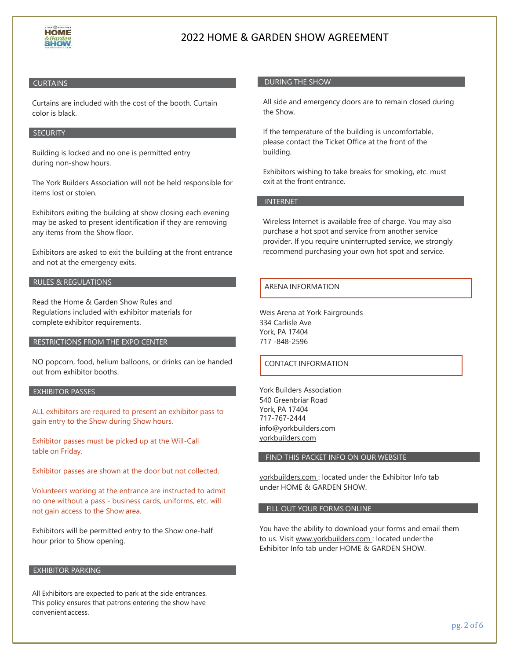

## **CURTAINS**

Curtains are included with the cost of the booth. Curtain color is black.

### **SECURITY**

Building is locked and no one is permitted entry during non-show hours.

The York Builders Association will not be held responsible for items lost or stolen.

Exhibitors exiting the building at show closing each evening may be asked to present identification if they are removing any items from the Show floor.

Exhibitors are asked to exit the building at the front entrance and not at the emergency exits.

### RULES & REGULATIONS

Read the Home & Garden Show Rules and Regulations included with exhibitor materials for complete exhibitor requirements.

### RESTRICTIONS FROM THE EXPO CENTER

NO popcorn, food, helium balloons, or drinks can be handed out from exhibitor booths.

### EXHIBITOR PASSES

ALL exhibitors are required to present an exhibitor pass to gain entry to the Show during Show hours.

Exhibitor passes must be picked up at the Will-Call table on Friday.

Exhibitor passes are shown at the door but not collected.

Volunteers working at the entrance are instructed to admit no one without a pass - business cards, uniforms, etc. will not gain access to the Show area.

Exhibitors will be permitted entry to the Show one-half hour prior to Show opening.

#### EXHIBITOR PARKING

All Exhibitors are expected to park at the side entrances. This policy ensures that patrons entering the show have convenient access.

### DURING THE SHOW

All side and emergency doors are to remain closed during the Show.

If the temperature of the building is uncomfortable, please contact the Ticket Office at the front of the building.

Exhibitors wishing to take breaks for smoking, etc. must exit at the front entrance.

## INTERNET

Wireless Internet is available free of charge. You may also purchase a hot spot and service from another service provider. If you require uninterrupted service, we strongly recommend purchasing your own hot spot and service.

### ARENA INFORMATION

Weis Arena at York Fairgrounds 334 Carlisle Ave York, PA 17404 717 -848-2596

### CONTACT INFORMATION

York Builders Association 540 Greenbriar Road York, PA 17404 717-767-2444 [info@yorkbuilders.com](mailto:info@yorkbuilders.com) yorkbuilders.com

#### FIND THIS PACKET INFO ON OUR WEBSITE

yorkbuilders.com : located under the Exhibitor Info tab under HOME & GARDEN SHOW.

#### FILL OUT YOUR FORMS ONLINE

You have the ability to download your forms and email them to us. Visit [www.yorkbuilders.com :](http://www.yorkbuilders.com/) located underthe Exhibitor Info tab under HOME & GARDEN SHOW.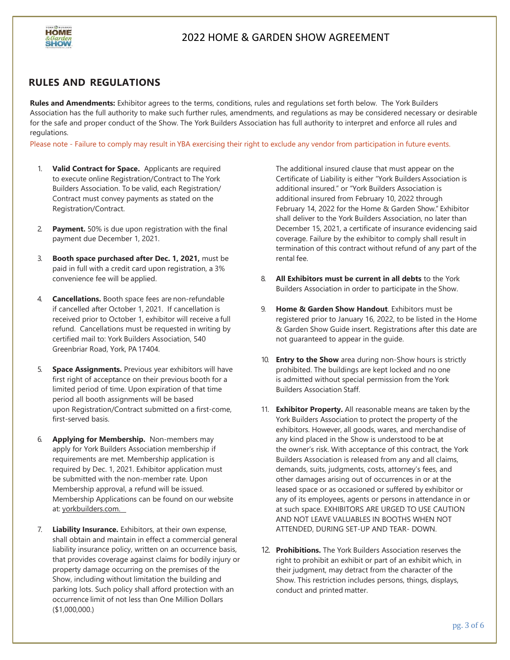

## **RULES AND REGULATIONS**

**Rules and Amendments:** Exhibitor agrees to the terms, conditions, rules and regulations set forth below. The York Builders Association has the full authority to make such further rules, amendments, and regulations as may be considered necessary or desirable for the safe and proper conduct of the Show. The York Builders Association has full authority to interpret and enforce all rules and regulations.

Please note - Failure to comply may result in YBA exercising their right to exclude any vendor from participation in future events.

- 1. **Valid Contract for Space.** Applicants are required to execute online Registration/Contract to The York Builders Association. To be valid, each Registration/ Contract must convey payments as stated on the Registration/Contract.
- 2. **Payment.** 50% is due upon registration with the final payment due December 1, 2021.
- 3. **Booth space purchased after Dec. 1, 2021,** must be paid in full with a credit card upon registration, a 3% convenience fee will be applied.
- 4. **Cancellations.** Booth space fees are non-refundable if cancelled after October 1, 2021. If cancellation is received prior to October 1, exhibitor will receive a full refund. Cancellations must be requested in writing by certified mail to: York Builders Association, 540 Greenbriar Road, York, PA 17404.
- 5. **Space Assignments.** Previous year exhibitors will have first right of acceptance on their previous booth for a limited period of time. Upon expiration of that time period all booth assignments will be based upon Registration/Contract submitted on a first-come, first-served basis.
- 6. **Applying for Membership.** Non-members may apply for York Builders Association membership if requirements are met. Membership application is required by Dec. 1, 2021. Exhibitor application must be submitted with the non-member rate. Upon Membership approval, a refund will be issued. Membership Applications can be found on our website at: yorkbuilders.com.
- 7. **Liability Insurance.** Exhibitors, at their own expense, shall obtain and maintain in effect a commercial general liability insurance policy, written on an occurrence basis, that provides coverage against claims for bodily injury or property damage occurring on the premises of the Show, including without limitation the building and parking lots. Such policy shall afford protection with an occurrence limit of not less than One Million Dollars (\$1,000,000.)

The additional insured clause that must appear on the Certificate of Liability is either "York Builders Association is additional insured." or "York Builders Association is additional insured from February 10, 2022 through February 14, 2022 for the Home & Garden Show." Exhibitor shall deliver to the York Builders Association, no later than December 15, 2021, a certificate of insurance evidencing said coverage. Failure by the exhibitor to comply shall result in termination of this contract without refund of any part of the rental fee.

- 8. **All Exhibitors must be current in all debts** to the York Builders Association in order to participate in the Show.
- 9. **Home & Garden Show Handout**. Exhibitors must be registered prior to January 16, 2022, to be listed in the Home & Garden Show Guide insert. Registrations after this date are not guaranteed to appear in the guide.
- 10. **Entry to the Show** area during non-Show hours is strictly prohibited. The buildings are kept locked and no one is admitted without special permission from the York Builders Association Staff.
- 11. **Exhibitor Property.** All reasonable means are taken by the York Builders Association to protect the property of the exhibitors. However, all goods, wares, and merchandise of any kind placed in the Show is understood to be at the owner's risk. With acceptance of this contract, the York Builders Association is released from any and all claims, demands, suits, judgments, costs, attorney's fees, and other damages arising out of occurrences in or at the leased space or as occasioned or suffered by exhibitor or any of its employees, agents or persons in attendance in or at such space. EXHIBITORS ARE URGED TO USE CAUTION AND NOT LEAVE VALUABLES IN BOOTHS WHEN NOT ATTENDED, DURING SET-UP AND TEAR- DOWN.
- 12. **Prohibitions.** The York Builders Association reserves the right to prohibit an exhibit or part of an exhibit which, in their judgment, may detract from the character of the Show. This restriction includes persons, things, displays, conduct and printed matter.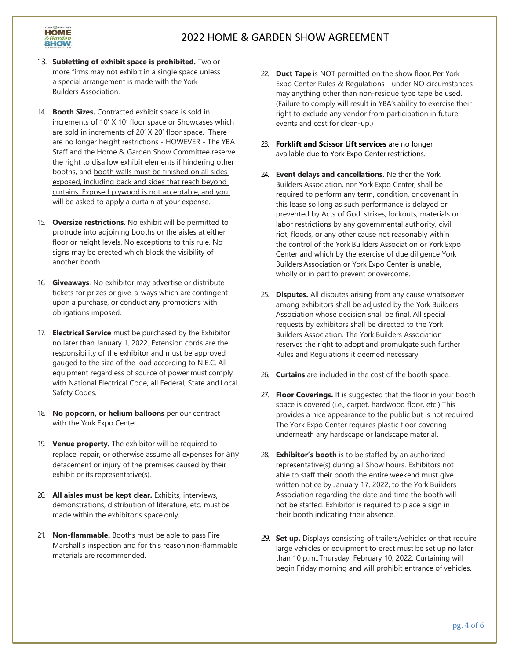

- 13. **Subletting of exhibit space is prohibited.** Two or more firms may not exhibit in a single space unless a special arrangement is made with the York Builders Association.
- 14. **Booth Sizes.** Contracted exhibit space is sold in increments of 10' X 10' floor space or Showcases which are sold in increments of 20' X 20' floor space. There are no longer height restrictions - HOWEVER - The YBA Staff and the Home & Garden Show Committee reserve the right to disallow exhibit elements if hindering other booths, and booth walls must be finished on all sides exposed, including back and sides that reach beyond curtains. Exposed plywood is not acceptable, and you will be asked to apply a curtain at your expense.
- 15. **Oversize restrictions**. No exhibit will be permitted to protrude into adjoining booths or the aisles at either floor or height levels. No exceptions to this rule. No signs may be erected which block the visibility of another booth.
- 16. **Giveaways**. No exhibitor may advertise or distribute tickets for prizes or give-a-ways which are contingent upon a purchase, or conduct any promotions with obligations imposed.
- 17. **Electrical Service** must be purchased by the Exhibitor no later than January 1, 2022. Extension cords are the responsibility of the exhibitor and must be approved gauged to the size of the load according to N.E.C. All equipment regardless of source of power must comply with National Electrical Code, all Federal, State and Local Safety Codes.
- 18. **No popcorn, or helium balloons** per our contract with the York Expo Center.
- 19. **Venue property.** The exhibitor will be required to replace, repair, or otherwise assume all expenses for any defacement or injury of the premises caused by their exhibit or its representative(s).
- 20. **All aisles must be kept clear.** Exhibits, interviews, demonstrations, distribution of literature, etc. must be made within the exhibitor's space only.
- 21. **Non-flammable.** Booths must be able to pass Fire Marshall's inspection and for this reason non-flammable materials are recommended.
- 22. **Duct Tape** is NOT permitted on the show floor.Per York Expo Center Rules & Regulations - under NO circumstances may anything other than non-residue type tape be used. (Failure to comply will result in YBA's ability to exercise their right to exclude any vendor from participation in future events and cost for clean-up.)
- 23. **Forklift and Scissor Lift services** are no longer available due to York Expo Center restrictions.
- 24. **Event delays and cancellations.** Neither the York Builders Association, nor York Expo Center, shall be required to perform any term, condition, or covenant in this lease so long as such performance is delayed or prevented by Acts of God, strikes, lockouts, materials or labor restrictions by any governmental authority, civil riot, floods, or any other cause not reasonably within the control of the York Builders Association or York Expo Center and which by the exercise of due diligence York Builders Association or York Expo Center is unable, wholly or in part to prevent or overcome.
- 25. **Disputes.** All disputes arising from any cause whatsoever among exhibitors shall be adjusted by the York Builders Association whose decision shall be final. All special requests by exhibitors shall be directed to the York Builders Association. The York Builders Association reserves the right to adopt and promulgate such further Rules and Regulations it deemed necessary.
- 26. **Curtains** are included in the cost of the booth space.
- 27. **Floor Coverings.** It is suggested that the floor in your booth space is covered (i.e., carpet, hardwood floor, etc.) This provides a nice appearance to the public but is not required. The York Expo Center requires plastic floor covering underneath any hardscape or landscape material.
- 28. **Exhibitor's booth** is to be staffed by an authorized representative(s) during all Show hours. Exhibitors not able to staff their booth the entire weekend must give written notice by January 17, 2022, to the York Builders Association regarding the date and time the booth will not be staffed. Exhibitor is required to place a sign in their booth indicating their absence.
- 29. **Set up.** Displays consisting of trailers/vehicles or that require large vehicles or equipment to erect must be set up no later than 10 p.m.,Thursday, February 10, 2022. Curtaining will begin Friday morning and will prohibit entrance of vehicles.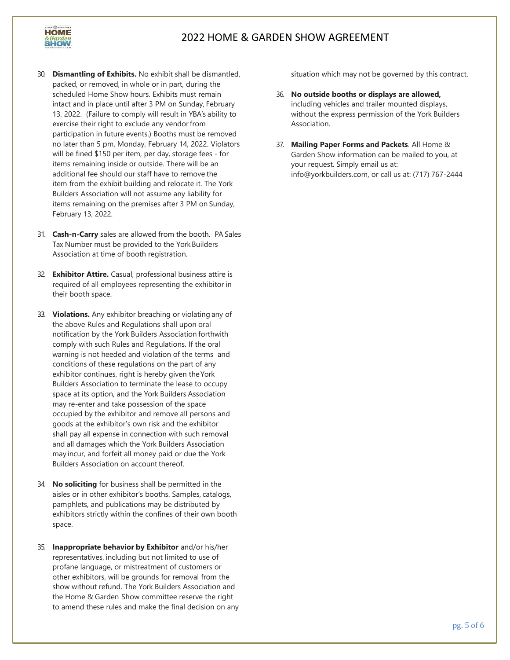

- 30. **Dismantling of Exhibits.** No exhibit shall be dismantled, packed, or removed, in whole or in part, during the scheduled Home Show hours. Exhibits must remain intact and in place until after 3 PM on Sunday, February 13, 2022. (Failure to comply will result in YBA's ability to exercise their right to exclude any vendor from participation in future events.) Booths must be removed no later than 5 pm, Monday, February 14, 2022. Violators will be fined \$150 per item, per day, storage fees - for items remaining inside or outside. There will be an additional fee should our staff have to remove the item from the exhibit building and relocate it. The York Builders Association will not assume any liability for items remaining on the premises after 3 PM on Sunday, February 13, 2022.
- 31. **Cash-n-Carry** sales are allowed from the booth. PA Sales Tax Number must be provided to the York Builders Association at time of booth registration.
- 32. **Exhibitor Attire.** Casual, professional business attire is required of all employees representing the exhibitor in their booth space.
- 33. **Violations.** Any exhibitor breaching or violating any of the above Rules and Regulations shall upon oral notification by the York Builders Association forthwith comply with such Rules and Regulations. If the oral warning is not heeded and violation of the terms and conditions of these regulations on the part of any exhibitor continues, right is hereby given theYork Builders Association to terminate the lease to occupy space at its option, and the York Builders Association may re-enter and take possession of the space occupied by the exhibitor and remove all persons and goods at the exhibitor's own risk and the exhibitor shall pay all expense in connection with such removal and all damages which the York Builders Association may incur, and forfeit all money paid or due the York Builders Association on account thereof.
- 34. **No soliciting** for business shall be permitted in the aisles or in other exhibitor's booths. Samples, catalogs, pamphlets, and publications may be distributed by exhibitors strictly within the confines of their own booth space.
- 35. **Inappropriate behavior by Exhibitor** and/or his/her representatives, including but not limited to use of profane language, or mistreatment of customers or other exhibitors, will be grounds for removal from the show without refund. The York Builders Association and the Home & Garden Show committee reserve the right to amend these rules and make the final decision on any

situation which may not be governed by this contract.

- 36. **No outside booths or displays are allowed,** including vehicles and trailer mounted displays, without the express permission of the York Builders Association.
- 37. **Mailing Paper Forms and Packets**. All Home & Garden Show information can be mailed to you, at your request. Simply email us at: [info@yorkbuilders.com,](mailto:info@yorkbuilders.com) or call us at: (717) 767-2444